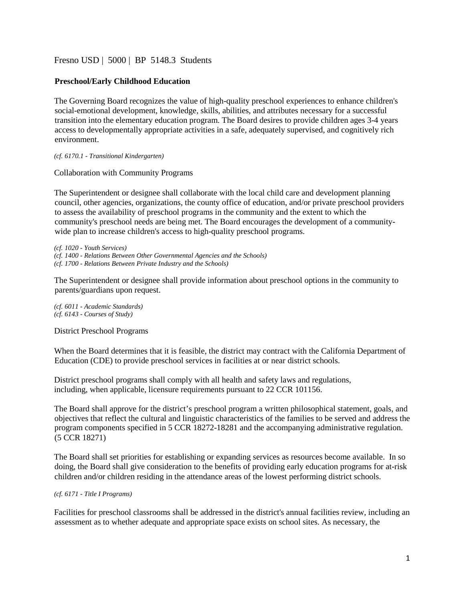[Fresno USD](http://www.fresnounified.org/board/policies/Policies/fusd/loaddistrictpolicy/1050.htm) | [5000](http://www.fresnounified.org/board/policies/Policies/fusd/policycategorylist/1050/5.htm) [|](http://www.fresnounified.org/board/policies/Policies/fusd/policycategorylist/1050/5.htm) BP 5148.3 Students

## **Preschool/Early Childhood Education**

The Governing Board recognizes the value of high-quality preschool experiences to enhance children's social-emotional development, knowledge, skills, abilities, and attributes necessary for a successful transition into the elementary education program. The Board desires to provide children ages 3-4 years access to developmentally appropriate activities in a safe, adequately supervised, and cognitively rich environment.

*(cf. 6170.1 - Transitional Kindergarten)* 

Collaboration with Community Programs

The Superintendent or designee shall collaborate with the local child care and development planning council, other agencies, organizations, the county office of education, and/or private preschool providers to assess the availability of preschool programs in the community and the extent to which the community's preschool needs are being met. The Board encourages the development of a communitywide plan to increase children's access to high-quality preschool programs.

*(cf. 1020 - Youth Services) (cf. 1400 - Relations Between Other Governmental Agencies and the Schools) (cf. 1700 - Relations Between Private Industry and the Schools)* 

The Superintendent or designee shall provide information about preschool options in the community to parents/guardians upon request.

*(cf. 6011 - Academic Standards) (cf. 6143 - Courses of Study)* 

District Preschool Programs

When the Board determines that it is feasible, the district may contract with the California Department of Education (CDE) to provide preschool services in facilities at or near district schools.

District preschool programs shall comply with all health and safety laws and regulations, including, when applicable, licensure requirements pursuant to 22 CCR 101156.

The Board shall approve for the district's preschool program a written philosophical statement, goals, and objectives that reflect the cultural and linguistic characteristics of the families to be served and address the program components specified in 5 CCR 18272-18281 and the accompanying administrative regulation. (5 CCR 18271)

The Board shall set priorities for establishing or expanding services as resources become available. In so doing, the Board shall give consideration to the benefits of providing early education programs for at-risk children and/or children residing in the attendance areas of the lowest performing district schools.

*(cf. 6171 - Title I Programs)* 

Facilities for preschool classrooms shall be addressed in the district's annual facilities review, including an assessment as to whether adequate and appropriate space exists on school sites. As necessary, the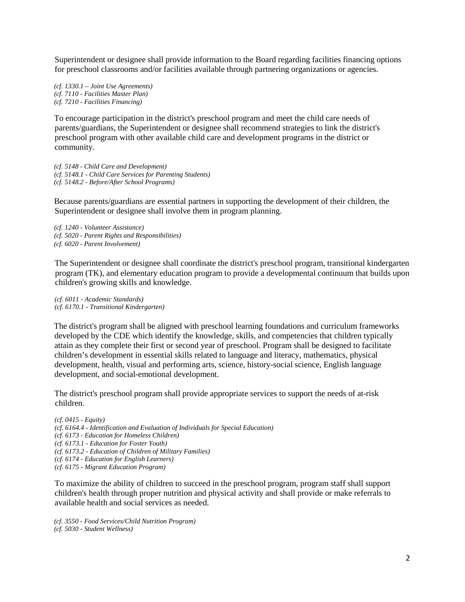Superintendent or designee shall provide information to the Board regarding facilities financing options for preschool classrooms and/or facilities available through partnering organizations or agencies.

*(cf. 1330.1 – Joint Use Agreements) (cf. 7110 - Facilities Master Plan) (cf. 7210 - Facilities Financing)* 

To encourage participation in the district's preschool program and meet the child care needs of parents/guardians, the Superintendent or designee shall recommend strategies to link the district's preschool program with other available child care and development programs in the district or community.

*(cf. 5148 - Child Care and Development) (cf. 5148.1 - Child Care Services for Parenting Students) (cf. 5148.2 - Before/After School Programs)* 

Because parents/guardians are essential partners in supporting the development of their children, the Superintendent or designee shall involve them in program planning.

*(cf. 1240 - Volunteer Assistance) (cf. 5020 - Parent Rights and Responsibilities) (cf. 6020 - Parent Involvement)* 

The Superintendent or designee shall coordinate the district's preschool program, transitional kindergarten program (TK), and elementary education program to provide a developmental continuum that builds upon children's growing skills and knowledge.

*(cf. 6011 - Academic Standards) (cf. 6170.1 - Transitional Kindergarten)*

The district's program shall be aligned with preschool learning foundations and curriculum frameworks developed by the CDE which identify the knowledge, skills, and competencies that children typically attain as they complete their first or second year of preschool. Program shall be designed to facilitate children's development in essential skills related to language and literacy, mathematics, physical development, health, visual and performing arts, science, history-social science, English language development, and social-emotional development.

The district's preschool program shall provide appropriate services to support the needs of at-risk children.

*(cf. 0415 - Equity) (cf. 6164.4 - Identification and Evaluation of Individuals for Special Education) (cf. 6173 - Education for Homeless Children) (cf. 6173.1 - Education for Foster Youth) (cf. 6173.2 - Education of Children of Military Families) (cf. 6174 - Education for English Learners) (cf. 6175 - Migrant Education Program)*

To maximize the ability of children to succeed in the preschool program, program staff shall support children's health through proper nutrition and physical activity and shall provide or make referrals to available health and social services as needed.

*(cf. 3550 - Food Services/Child Nutrition Program) (cf. 5030 - Student Wellness)*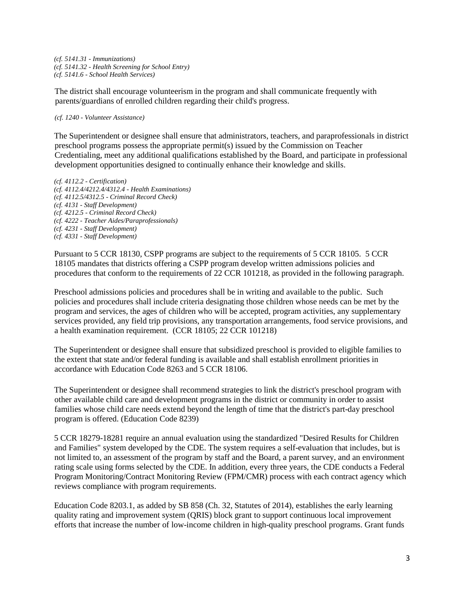*(cf. 5141.31 - Immunizations) (cf. 5141.32 - Health Screening for School Entry) (cf. 5141.6 - School Health Services)* 

The district shall encourage volunteerism in the program and shall communicate frequently with parents/guardians of enrolled children regarding their child's progress.

*(cf. 1240 - Volunteer Assistance)*

The Superintendent or designee shall ensure that administrators, teachers, and paraprofessionals in district preschool programs possess the appropriate permit(s) issued by the Commission on Teacher Credentialing, meet any additional qualifications established by the Board, and participate in professional development opportunities designed to continually enhance their knowledge and skills.

*(cf. 4112.2 - Certification) (cf. 4112.4/4212.4/4312.4 - Health Examinations) (cf. 4112.5/4312.5 - Criminal Record Check) (cf. 4131 - Staff Development) (cf. 4212.5 - Criminal Record Check) (cf. 4222 - Teacher Aides/Paraprofessionals) (cf. 4231 - Staff Development) (cf. 4331 - Staff Development)* 

Pursuant to 5 CCR 18130, CSPP programs are subject to the requirements of 5 CCR 18105. 5 CCR 18105 mandates that districts offering a CSPP program develop written admissions policies and procedures that conform to the requirements of 22 CCR 101218, as provided in the following paragraph.

Preschool admissions policies and procedures shall be in writing and available to the public. Such policies and procedures shall include criteria designating those children whose needs can be met by the program and services, the ages of children who will be accepted, program activities, any supplementary services provided, any field trip provisions, any transportation arrangements, food service provisions, and a health examination requirement. (CCR 18105; 22 CCR 101218)

The Superintendent or designee shall ensure that subsidized preschool is provided to eligible families to the extent that state and/or federal funding is available and shall establish enrollment priorities in accordance with Education Code 8263 and 5 CCR 18106.

The Superintendent or designee shall recommend strategies to link the district's preschool program with other available child care and development programs in the district or community in order to assist families whose child care needs extend beyond the length of time that the district's part-day preschool program is offered. (Education Code 8239)

5 CCR 18279-18281 require an annual evaluation using the standardized "Desired Results for Children and Families" system developed by the CDE. The system requires a self-evaluation that includes, but is not limited to, an assessment of the program by staff and the Board, a parent survey, and an environment rating scale using forms selected by the CDE. In addition, every three years, the CDE conducts a Federal Program Monitoring/Contract Monitoring Review (FPM/CMR) process with each contract agency which reviews compliance with program requirements.

Education Code 8203.1, as added by SB 858 (Ch. 32, Statutes of 2014), establishes the early learning quality rating and improvement system (QRIS) block grant to support continuous local improvement efforts that increase the number of low-income children in high-quality preschool programs. Grant funds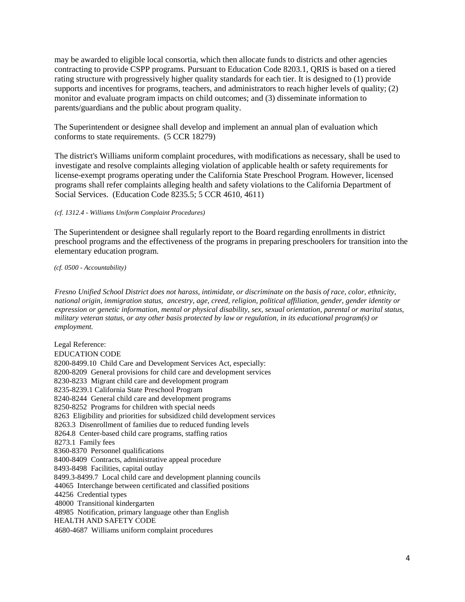may be awarded to eligible local consortia, which then allocate funds to districts and other agencies contracting to provide CSPP programs. Pursuant to Education Code 8203.1, QRIS is based on a tiered rating structure with progressively higher quality standards for each tier. It is designed to (1) provide supports and incentives for programs, teachers, and administrators to reach higher levels of quality; (2) monitor and evaluate program impacts on child outcomes; and (3) disseminate information to parents/guardians and the public about program quality.

The Superintendent or designee shall develop and implement an annual plan of evaluation which conforms to state requirements. (5 CCR 18279)

The district's Williams uniform complaint procedures, with modifications as necessary, shall be used to investigate and resolve complaints alleging violation of applicable health or safety requirements for license-exempt programs operating under the California State Preschool Program. However, licensed programs shall refer complaints alleging health and safety violations to the California Department of Social Services. (Education Code 8235.5; 5 CCR 4610, 4611)

## *(cf. 1312.4 - Williams Uniform Complaint Procedures)*

The Superintendent or designee shall regularly report to the Board regarding enrollments in district preschool programs and the effectiveness of the programs in preparing preschoolers for transition into the elementary education program.

*(cf. 0500 - Accountability)* 

*Fresno Unified School District does not harass, intimidate, or discriminate on the basis of race, color, ethnicity, national origin, immigration status, ancestry, age, creed, religion, political affiliation, gender, gender identity or expression or genetic information, mental or physical disability, sex, sexual orientation, parental or marital status, military veteran status, or any other basis protected by law or regulation, in its educational program(s) or employment.*

Legal Reference: EDUCATION CODE 8200-8499.10 Child Care and Development Services Act, especially: 8200-8209 General provisions for child care and development services 8230-8233 Migrant child care and development program 8235-8239.1 California State Preschool Program 8240-8244 General child care and development programs 8250-8252 Programs for children with special needs 8263 Eligibility and priorities for subsidized child development services 8263.3 Disenrollment of families due to reduced funding levels 8264.8 Center-based child care programs, staffing ratios 8273.1 Family fees 8360-8370 Personnel qualifications 8400-8409 Contracts, administrative appeal procedure 8493-8498 Facilities, capital outlay 8499.3-8499.7 Local child care and development planning councils 44065 Interchange between certificated and classified positions 44256 Credential types 48000 Transitional kindergarten 48985 Notification, primary language other than English HEALTH AND SAFETY CODE 4680-4687 Williams uniform complaint procedures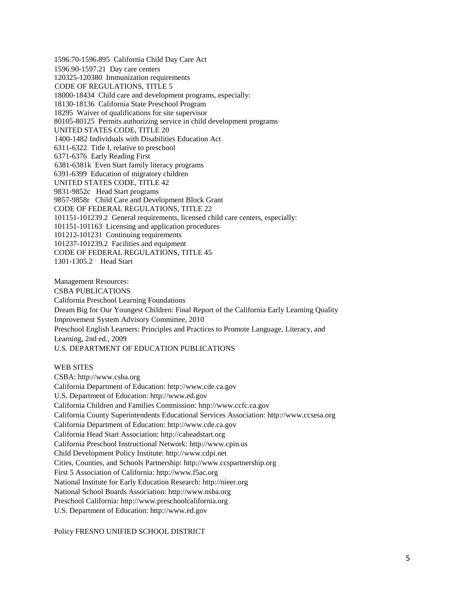1596.70-1596.895 California Child Day Care Act 1596.90-1597.21 Day care centers 120325-120380 Immunization requirements CODE OF REGULATIONS, TITLE 5 18000-18434 Child care and development programs, especially: 18130-18136 California State Preschool Program 18295 Waiver of qualifications for site supervisor 80105-80125 Permits authorizing service in child development programs UNITED STATES CODE, TITLE 20 1400-1482 Individuals with Disabilities Education Act 6311-6322 Title I, relative to preschool 6371-6376 Early Reading First 6381-6381k Even Start family literacy programs 6391-6399 Education of migratory children UNITED STATES CODE, TITLE 42 9831-9852c Head Start programs 9857-9858r Child Care and Development Block Grant CODE OF FEDERAL REGULATIONS, TITLE 22 101151-101239.2 General requirements, licensed child care centers, especially: 101151-101163 Licensing and application procedures 101212-101231 Continuing requirements 101237-101239.2 Facilities and equipment CODE OF FEDERAL REGULATIONS, TITLE 45 1301-1305.2 Head Start

Management Resources: CSBA PUBLICATIONS California Preschool Learning Foundations Dream Big for Our Youngest Children: Final Report of the California Early Learning Quality Improvement System Advisory Committee, 2010 Preschool English Learners: Principles and Practices to Promote Language, Literacy, and Learning, 2nd ed., 2009 U.S. DEPARTMENT OF EDUCATION PUBLICATIONS

WEB SITES

CSBA[: http://www.csba.org](http://www.csba.org/) California Department of Education: http://www.cde.ca.gov U.S. Department of Education: [http://www.ed.gov](http://www.ed.gov/) California Children and Families Commission: http://www.ccfc.ca.gov California County Superintendents Educational Services Association: http://www.ccsesa.org California Department of Education: http://www.cde.ca.gov California Head Start Association: http://caheadstart.org California Preschool Instructional Network: http://www.cpin.us Child Development Policy Institute: http://www.cdpi.net Cities, Counties, and Schools Partnership: http://www.ccspartnership.org First 5 Association of California: http://www.f5ac.org National Institute for Early Education Research: http://nieer.org National School Boards Association: http://www.nsba.org Preschool California: http://www.preschoolcalifornia.org U.S. Department of Education: http://www.ed.gov

Policy FRESNO UNIFIED SCHOOL DISTRICT